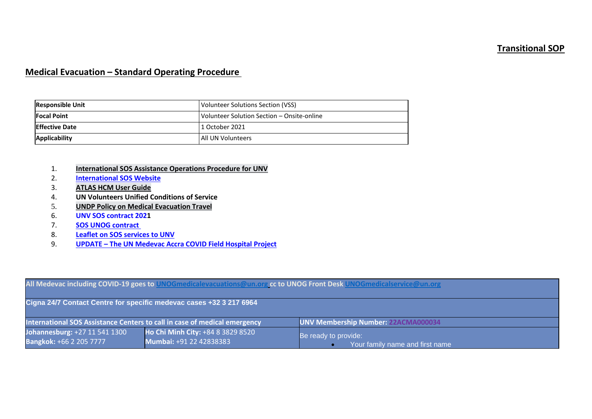## **Transitional SOP**

## **Medical Evacuation – Standard Operating Procedure**

| <b>Responsible Unit</b> | Volunteer Solutions Section (VSS)          |
|-------------------------|--------------------------------------------|
| <b>Focal Point</b>      | Volunteer Solution Section - Onsite-online |
| <b>Effective Date</b>   | l 1 October 2021                           |
| Applicability           | <b>All UN Volunteers</b>                   |

# 1. **International [SOS Assistance Operations Procedure for UNV](https://undp.sharepoint.com/:b:/s/UNVknowledgeMng/EbgIt88kLGdKiUdP8VuywpQBIxJNyK4jb5JSU6qp5nKveQ?e=hUfdo3%22%20/t%20%22_blank)**

- **[International SOS Website](https://undp.sharepoint.com/:b:/s/UNVknowledgeMng/EbgIt88kLGdKiUdP8VuywpQBIxJNyK4jb5JSU6qp5nKveQ?e=hUfdo3%22%20/t%20%22_blank%22%20%EF%BF%BDHYPERLINK%20%22https://www.internationalsos.com)**
- 3. **[ATLAS HCM User Guide](https://undp.sharepoint.com/:w:/s/UNVknowledgeMng/EYG1C4FsUpBJrzbZd29etKsBRHhttps:/undp.sharepoint.com/sites/LocalPayroll_Induction/User%20Guides/Forms/AllItems.aspx?id=%2Fsites%2FLocalPayroll%5FInduction%2FUser%20Guides%2FUNV%20Atlas%20HCM%20User%20Guide%20%282020%29%2Epdf&parent=%2Fsites%2FLocalPayroll%5FInduction%2FUser%20Guides&p=true&originalPath=aHR0cHM6Ly91bmRwLnNoYXJlcG9pbnQuY29tLzpiOi9zL0xvY2FsUGF5cm9sbF9JbmR1Y3Rpb24vRWM2TW5FRjhJN0JOcU43RURqVTBFRzRCWS00dFFVdlJVVlNrMkkydXRVRk03dz9ydGltZT1SV1RlZHZOZTJFZw33qNi5q0WulX7J3iHNYw?e=Og6jVR)**
- 4. **UN Volunteers Unified Conditions of Service**
- 5. **[UNDP Policy on Medical Evacuation Travel](https://popp.undp.org/_layouts/15/WopiFrame.aspx?sourcedoc=%2FUNDP%5FPOPP%5FDOCUMENT%5FLIBRARY%2FPublic%2FHR%5FEntitlement%20Travel%5FMedical%20Evacuation%20Travel%2Edocx&action=view&wdparaid=5E96BE4)**
- 6. **[UNV SOS contract 2021](https://undp.sharepoint.com/sites/UNVknowledgeMng/Policies%20and%20Procedures/Forms/AllItems.aspx?id=%2Fsites%2FUNVknowledgeMng%2FPolicies%20and%20Procedures%2FSOS%5FContract%5FFace%5FSheet%5Fcountersigned%5F%202021%20contact%2Epdf&parent=%2Fsites%2FUNVknowledgeMng%2FPolicies%20and%20Procedures)**
- 7. **[SOS UNOG contract](https://eur03.safelinks.protection.outlook.com/?url=https%3A%2F%2Fundp.sharepoint.com%2Fsites%2FUNVknowledgeMng%2FApproved%2520Policy%2520Waivers%2FSOS%2520Contract.pdf%3Fcsf%3D1%26e%3DKol2Gn%26cid%3D1940766f-7a95-4663-89a2-457e2cf607aa&data=02%7C01%7Cranjita.upadhyay%40unv.org%7Cfc71625b735f4db83c6008d7d265f78f%7Cb3e5db5e2944483799f57488ace54319%7C0%7C0%7C637209207689418901&sdata=scCiCKlYjXP2kCorACtxiStfnUfdKh5HizyhmxGcfCQ%3D&reserved=0)**
- 8. **[Leaflet on SOS services to UNV](https://undp.sharepoint.com/:w:/s/UNVknowledgeMng/ER6VeYU170dDstZadkgqV-UBa0Z_6QYnXw3fXF22TSqccw?e=g3ev7I)**
- 9. **UPDATE – [The UN Medevac Accra COVID Field Hospital Project](https://www.unv.org/sites/default/files/The%20UN%20COVID19%20FIELD%20HOSPITAL%20ACCRA%20PROJECT%20UPDATE%2018th%20Sep%202020%20DN%20MFA%5B1%5D.docx)**

| All Medevac including COVID-19 goes to UNOGmedicalevacuations@un.org cc to UNOG Front Desk UNOGmedicalservice@un.org |                                                              |                                                         |  |  |  |  |  |
|----------------------------------------------------------------------------------------------------------------------|--------------------------------------------------------------|---------------------------------------------------------|--|--|--|--|--|
| Cigna 24/7 Contact Centre for specific medevac cases +32 3 217 6964                                                  |                                                              |                                                         |  |  |  |  |  |
| International SOS Assistance Centers to call in case of medical emergency                                            |                                                              | <b>UNV Membership Number: 22ACMA000034</b>              |  |  |  |  |  |
| Johannesburg: +27 11 541 1300<br><b>Bangkok: +66 2 205 7777</b>                                                      | Ho Chi Minh City: +84 8 3829 8520<br>Mumbai: +91 22 42838383 | Be ready to provide:<br>Your family name and first name |  |  |  |  |  |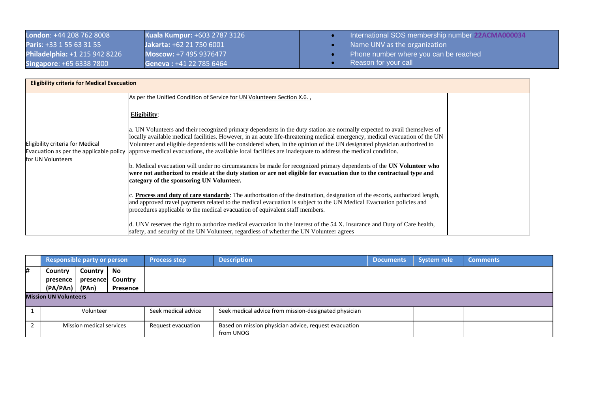| <b>London: +44 208 762 8008</b>      | <b>Kuala Kumpur: +603 2787 3126</b> | International SOS membership number 22ACMA000034 |
|--------------------------------------|-------------------------------------|--------------------------------------------------|
| <b>Paris: +33 1 55 63 31 55</b>      | Jakarta: +62 21 750 6001            | Name UNV as the organization                     |
| <b>Philadelphia: +1 215 942 8226</b> | Moscow: +7 495 9376477              | Phone number where you can be reached            |
| <b>Singapore: +65 6338 7800</b>      | Geneva: +41 22 785 6464             | Reason for your call                             |

| <b>Eligibility criteria for Medical Evacuation</b>                                               |                                                                                                                                                                                                                                                                                                                                                                                                                                                                                                   |  |
|--------------------------------------------------------------------------------------------------|---------------------------------------------------------------------------------------------------------------------------------------------------------------------------------------------------------------------------------------------------------------------------------------------------------------------------------------------------------------------------------------------------------------------------------------------------------------------------------------------------|--|
|                                                                                                  | As per the Unified Condition of Service for UN Volunteers Section X.6.,                                                                                                                                                                                                                                                                                                                                                                                                                           |  |
|                                                                                                  | Eligibility:                                                                                                                                                                                                                                                                                                                                                                                                                                                                                      |  |
| Eligibility criteria for Medical<br>Evacuation as per the applicable policy<br>for UN Volunteers | . UN Volunteers and their recognized primary dependents in the duty station are normally expected to avail themselves of<br>locally available medical facilities. However, in an acute life-threatening medical emergency, medical evacuation of the UN<br>Volunteer and eligible dependents will be considered when, in the opinion of the UN designated physician authorized to<br>approve medical evacuations, the available local facilities are inadequate to address the medical condition. |  |
|                                                                                                  | b. Medical evacuation will under no circumstances be made for recognized primary dependents of the UN Volunteer who<br>were not authorized to reside at the duty station or are not eligible for evacuation due to the contractual type and<br>category of the sponsoring UN Volunteer.                                                                                                                                                                                                           |  |
|                                                                                                  | <b>Process and duty of care standards:</b> The authorization of the destination, designation of the escorts, authorized length,<br>and approved travel payments related to the medical evacuation is subject to the UN Medical Evacuation policies and<br>procedures applicable to the medical evacuation of equivalent staff members.                                                                                                                                                            |  |
|                                                                                                  | d. UNV reserves the right to authorize medical evacuation in the interest of the 54 X. Insurance and Duty of Care health,<br>safety, and security of the UN Volunteer, regardless of whether the UN Volunteer agrees                                                                                                                                                                                                                                                                              |  |

|   | <b>Responsible party or person</b> |                          |          | <b>Process step</b> | <b>Description</b>                                                 | <b>Documents</b> | <b>System role</b> | <b>Comments</b> |
|---|------------------------------------|--------------------------|----------|---------------------|--------------------------------------------------------------------|------------------|--------------------|-----------------|
| # | Country                            | Country                  | No       |                     |                                                                    |                  |                    |                 |
|   | presence                           | presence                 | Country  |                     |                                                                    |                  |                    |                 |
|   | (PA/PAn) (PAn)                     |                          | Presence |                     |                                                                    |                  |                    |                 |
|   | <b>Mission UN Volunteers</b>       |                          |          |                     |                                                                    |                  |                    |                 |
|   |                                    | Volunteer                |          | Seek medical advice | Seek medical advice from mission-designated physician              |                  |                    |                 |
|   |                                    | Mission medical services |          | Request evacuation  | Based on mission physician advice, request evacuation<br>from UNOG |                  |                    |                 |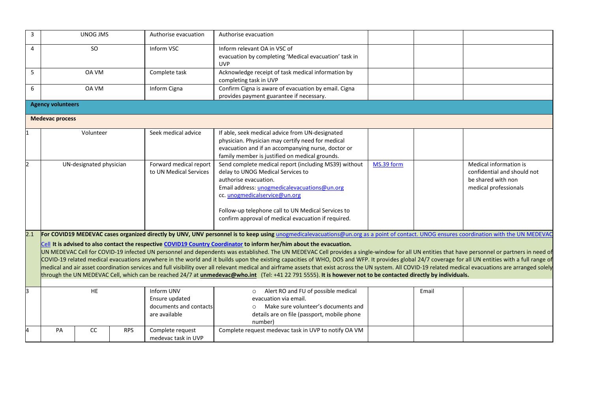| 3   |                          | UNOG JMS                |            | Authorise evacuation   | Authorise evacuation                                                                                                                                                                                        |            |       |                             |
|-----|--------------------------|-------------------------|------------|------------------------|-------------------------------------------------------------------------------------------------------------------------------------------------------------------------------------------------------------|------------|-------|-----------------------------|
| 4   |                          | SO                      |            | Inform VSC             | Inform relevant OA in VSC of                                                                                                                                                                                |            |       |                             |
|     |                          |                         |            |                        | evacuation by completing 'Medical evacuation' task in                                                                                                                                                       |            |       |                             |
|     |                          |                         |            |                        | <b>UVP</b>                                                                                                                                                                                                  |            |       |                             |
| 5   |                          | OA VM                   |            | Complete task          | Acknowledge receipt of task medical information by                                                                                                                                                          |            |       |                             |
|     |                          |                         |            |                        | completing task in UVP                                                                                                                                                                                      |            |       |                             |
| 6   |                          | OA VM                   |            | Inform Cigna           | Confirm Cigna is aware of evacuation by email. Cigna                                                                                                                                                        |            |       |                             |
|     |                          |                         |            |                        | provides payment guarantee if necessary.                                                                                                                                                                    |            |       |                             |
|     | <b>Agency volunteers</b> |                         |            |                        |                                                                                                                                                                                                             |            |       |                             |
|     | <b>Medevac process</b>   |                         |            |                        |                                                                                                                                                                                                             |            |       |                             |
|     |                          | Volunteer               |            | Seek medical advice    | If able, seek medical advice from UN-designated                                                                                                                                                             |            |       |                             |
|     |                          |                         |            |                        | physician. Physician may certify need for medical                                                                                                                                                           |            |       |                             |
|     |                          |                         |            |                        | evacuation and if an accompanying nurse, doctor or                                                                                                                                                          |            |       |                             |
|     |                          |                         |            |                        | family member is justified on medical grounds.                                                                                                                                                              |            |       |                             |
|     |                          | UN-designated physician |            | Forward medical report | Send complete medical report (including MS39) without                                                                                                                                                       | MS.39 form |       | Medical information is      |
|     |                          |                         |            | to UN Medical Services | delay to UNOG Medical Services to                                                                                                                                                                           |            |       | confidential and should not |
|     |                          |                         |            |                        | authorise evacuation.                                                                                                                                                                                       |            |       | be shared with non          |
|     |                          |                         |            |                        | Email address: unogmedicalevacuations@un.org                                                                                                                                                                |            |       | medical professionals       |
|     |                          |                         |            |                        | cc. unogmedicalservice@un.org                                                                                                                                                                               |            |       |                             |
|     |                          |                         |            |                        |                                                                                                                                                                                                             |            |       |                             |
|     |                          |                         |            |                        | Follow-up telephone call to UN Medical Services to                                                                                                                                                          |            |       |                             |
|     |                          |                         |            |                        | confirm approval of medical evacuation if required.                                                                                                                                                         |            |       |                             |
| 2.1 |                          |                         |            |                        | For COVID19 MEDEVAC cases organized directly by UNV, UNV personnel is to keep using unogmedicalevacuations@un.org as a point of contact. UNOG ensures coordination with the UN MEDEVAC                      |            |       |                             |
|     |                          |                         |            |                        | Cell It is advised to also contact the respective COVID19 Country Coordinator to inform her/him about the evacuation.                                                                                       |            |       |                             |
|     |                          |                         |            |                        | UN MEDEVAC Cell for COVID-19 infected UN personnel and dependents was established. The UN MEDEVAC Cell provides a single-window for all UN entities that have personnel or partners in need of              |            |       |                             |
|     |                          |                         |            |                        | COVID-19 related medical evacuations anywhere in the world and it builds upon the existing capacities of WHO, DOS and WFP. It provides global 24/7 coverage for all UN entities with a full range of        |            |       |                             |
|     |                          |                         |            |                        | medical and air asset coordination services and full visibility over all relevant medical and airframe assets that exist across the UN system. All COVID-19 related medical evacuations are arranged solely |            |       |                             |
|     |                          |                         |            |                        | through the UN MEDEVAC Cell, which can be reached 24/7 at unmedevac@who.int (Tel: +41 22 791 5555). It is however not to be contacted directly by individuals.                                              |            |       |                             |
|     |                          |                         |            |                        |                                                                                                                                                                                                             |            |       |                             |
| 3   |                          | HE                      |            | Inform UNV             | Alert RO and FU of possible medical<br>$\circ$                                                                                                                                                              |            | Email |                             |
|     |                          |                         |            | Ensure updated         | evacuation via email.                                                                                                                                                                                       |            |       |                             |
|     |                          |                         |            | documents and contacts | Make sure volunteer's documents and                                                                                                                                                                         |            |       |                             |
|     |                          |                         |            | are available          | details are on file (passport, mobile phone                                                                                                                                                                 |            |       |                             |
|     |                          |                         |            |                        | number)                                                                                                                                                                                                     |            |       |                             |
| 4   | PA                       | cc                      | <b>RPS</b> | Complete request       | Complete request medevac task in UVP to notify OA VM                                                                                                                                                        |            |       |                             |
|     |                          |                         |            | medevac task in UVP    |                                                                                                                                                                                                             |            |       |                             |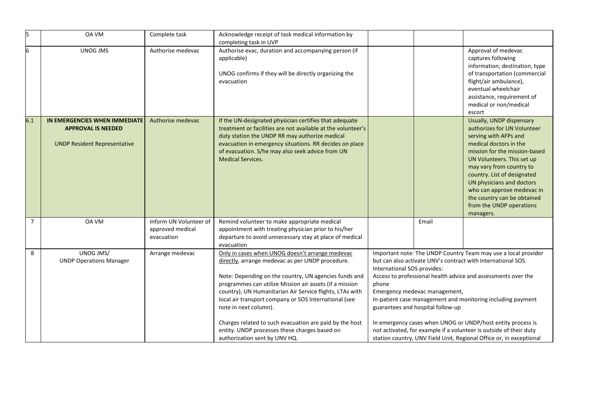| 5              | OA VM                                                                                             | Complete task                                            | Acknowledge receipt of task medical information by<br>completing task in UVP                                                                                                                                                                                                                                                                                                                                                                                                                                       |                                      |                                                                    |                                                                                                                                                                                                                                                                                                                                                                                                                                                                            |
|----------------|---------------------------------------------------------------------------------------------------|----------------------------------------------------------|--------------------------------------------------------------------------------------------------------------------------------------------------------------------------------------------------------------------------------------------------------------------------------------------------------------------------------------------------------------------------------------------------------------------------------------------------------------------------------------------------------------------|--------------------------------------|--------------------------------------------------------------------|----------------------------------------------------------------------------------------------------------------------------------------------------------------------------------------------------------------------------------------------------------------------------------------------------------------------------------------------------------------------------------------------------------------------------------------------------------------------------|
| 6              | <b>UNOG JMS</b>                                                                                   | Authorise medevac                                        | Authorise evac, duration and accompanying person (if<br>applicable)<br>UNOG confirms if they will be directly organizing the<br>evacuation                                                                                                                                                                                                                                                                                                                                                                         |                                      |                                                                    | Approval of medevac<br>captures following<br>information; destination, type<br>of transportation (commercial<br>flight/air ambulance),<br>eventual wheelchair<br>assistance, requirement of<br>medical or non/medical<br>escort                                                                                                                                                                                                                                            |
| 6.1            | IN EMERGENCIES WHEN IMMEDIATE<br><b>APPROVAL IS NEEDED</b><br><b>UNDP Resident Representative</b> | Authorise medevac                                        | If the UN-designated physician certifies that adequate<br>treatment or facilities are not available at the volunteer's<br>duty station the UNDP RR may authorize medical<br>evacuation in emergency situations. RR decides on place<br>of evacuation. S/he may also seek advice from UN<br><b>Medical Services.</b>                                                                                                                                                                                                |                                      |                                                                    | Usually, UNDP dispensary<br>authorizes for UN Volunteer<br>serving with AFPs and<br>medical doctors in the<br>mission for the mission-based<br>UN Volunteers. This set up<br>may vary from country to<br>country. List of designated<br>UN physicians and doctors<br>who can approve medevac in<br>the country can be obtained<br>from the UNDP operations<br>managers.                                                                                                    |
| $\overline{7}$ | OA VM                                                                                             | Inform UN Volunteer of<br>approved medical<br>evacuation | Remind volunteer to make appropriate medical<br>appointment with treating physician prior to his/her<br>departure to avoid unnecessary stay at place of medical<br>evacuation                                                                                                                                                                                                                                                                                                                                      |                                      | Email                                                              |                                                                                                                                                                                                                                                                                                                                                                                                                                                                            |
| 8              | UNOG JMS/<br><b>UNDP Operations Manager</b>                                                       | Arrange medevac                                          | Only in cases when UNOG doesn't arrange medevac<br>directly, arrange medevac as per UNDP procedure.<br>Note: Depending on the country, UN agencies funds and<br>programmes can utilize Mission air assets (if a mission<br>country), UN Humanitarian Air Service flights, LTAs with<br>local air transport company or SOS International (see<br>note in next column).<br>Charges related to such evacuation are paid by the host<br>entity. UNDP processes these charges based on<br>authorization sent by UNV HQ. | International SOS provides:<br>phone | Emergency medevac management,<br>guarantees and hospital follow-up | Important note: The UNDP Country Team may use a local provider<br>but can also activate UNV's contract with International SOS.<br>Access to professional health advice and assessments over the<br>In-patient case management and monitoring including payment<br>In emergency cases when UNOG or UNDP/host entity process is<br>not activated, for example if a volunteer is outside of their duty<br>station country, UNV Field Unit, Regional Office or, in exceptional |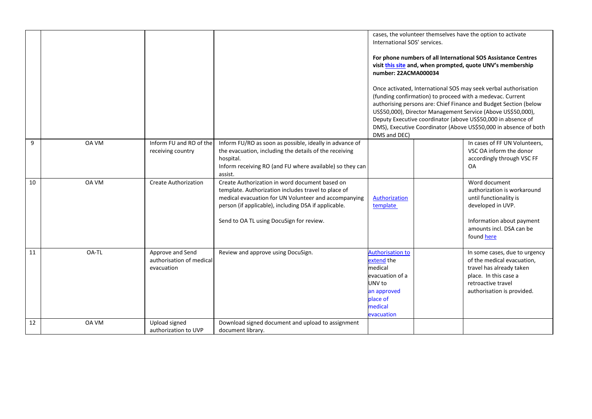|    |              |                                                            |                                                                                                                                                                                                                                                                   | International SOS' services.                                                                                                      | cases, the volunteer themselves have the option to activate                                                                                                                                                                                                                                                                                                                                          |
|----|--------------|------------------------------------------------------------|-------------------------------------------------------------------------------------------------------------------------------------------------------------------------------------------------------------------------------------------------------------------|-----------------------------------------------------------------------------------------------------------------------------------|------------------------------------------------------------------------------------------------------------------------------------------------------------------------------------------------------------------------------------------------------------------------------------------------------------------------------------------------------------------------------------------------------|
|    |              |                                                            |                                                                                                                                                                                                                                                                   | number: 22ACMA000034                                                                                                              | For phone numbers of all International SOS Assistance Centres<br>visit this site and, when prompted, quote UNV's membership                                                                                                                                                                                                                                                                          |
|    |              |                                                            |                                                                                                                                                                                                                                                                   | DMS and DEC)                                                                                                                      | Once activated, International SOS may seek verbal authorisation<br>(funding confirmation) to proceed with a medevac. Current<br>authorising persons are: Chief Finance and Budget Section (below<br>US\$50,000), Director Management Service (Above US\$50,000),<br>Deputy Executive coordinator (above US\$50,000 in absence of<br>DMS), Executive Coordinator (Above US\$50,000 in absence of both |
| 9  | <b>OA VM</b> | Inform FU and RO of the<br>receiving country               | Inform FU/RO as soon as possible, ideally in advance of<br>the evacuation, including the details of the receiving<br>hospital.<br>Inform receiving RO (and FU where available) so they can<br>assist.                                                             |                                                                                                                                   | In cases of FF UN Volunteers,<br>VSC OA inform the donor<br>accordingly through VSC FF<br><b>OA</b>                                                                                                                                                                                                                                                                                                  |
| 10 | OA VM        | <b>Create Authorization</b>                                | Create Authorization in word document based on<br>template. Authorization includes travel to place of<br>medical evacuation for UN Volunteer and accompanying<br>person (if applicable), including DSA if applicable.<br>Send to OA TL using DocuSign for review. | Authorization<br>template                                                                                                         | Word document<br>authorization is workaround<br>until functionality is<br>developed in UVP.<br>Information about payment<br>amounts incl. DSA can be<br>found here                                                                                                                                                                                                                                   |
| 11 | OA-TL        | Approve and Send<br>authorisation of medical<br>evacuation | Review and approve using DocuSign.                                                                                                                                                                                                                                | <b>Authorisation to</b><br>extend the<br>medical<br>evacuation of a<br>UNV to<br>an approved<br>place of<br>medical<br>evacuation | In some cases, due to urgency<br>of the medical evacuation,<br>travel has already taken<br>place. In this case a<br>retroactive travel<br>authorisation is provided.                                                                                                                                                                                                                                 |
| 12 | OA VM        | Upload signed<br>authorization to UVP                      | Download signed document and upload to assignment<br>document library.                                                                                                                                                                                            |                                                                                                                                   |                                                                                                                                                                                                                                                                                                                                                                                                      |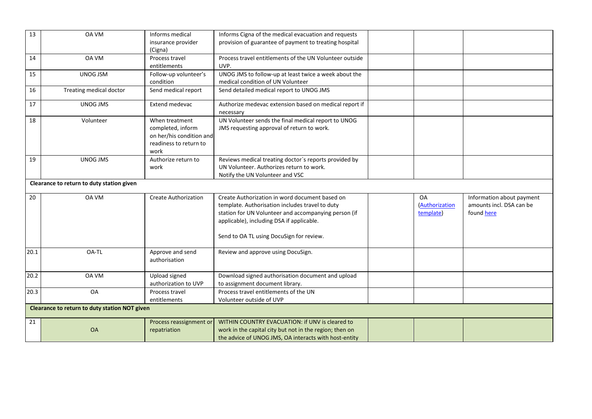| 13   | OA VM                                         | Informs medical             | Informs Cigna of the medical evacuation and requests                |                       |                           |
|------|-----------------------------------------------|-----------------------------|---------------------------------------------------------------------|-----------------------|---------------------------|
|      |                                               | insurance provider          | provision of guarantee of payment to treating hospital              |                       |                           |
|      |                                               | (Cigna)                     |                                                                     |                       |                           |
| 14   | OA VM                                         | Process travel              | Process travel entitlements of the UN Volunteer outside             |                       |                           |
|      |                                               | entitlements                | UVP.                                                                |                       |                           |
| 15   | <b>UNOG JSM</b>                               | Follow-up volunteer's       | UNOG JMS to follow-up at least twice a week about the               |                       |                           |
|      |                                               | condition                   | medical condition of UN Volunteer                                   |                       |                           |
| 16   | Treating medical doctor                       | Send medical report         | Send detailed medical report to UNOG JMS                            |                       |                           |
| 17   | <b>UNOG JMS</b>                               | Extend medevac              | Authorize medevac extension based on medical report if<br>necessary |                       |                           |
| 18   | Volunteer                                     | When treatment              | UN Volunteer sends the final medical report to UNOG                 |                       |                           |
|      |                                               | completed, inform           | JMS requesting approval of return to work.                          |                       |                           |
|      |                                               | on her/his condition and    |                                                                     |                       |                           |
|      |                                               | readiness to return to      |                                                                     |                       |                           |
|      |                                               | work                        |                                                                     |                       |                           |
| 19   | UNOG JMS                                      | Authorize return to         | Reviews medical treating doctor's reports provided by               |                       |                           |
|      |                                               | work                        | UN Volunteer. Authorizes return to work.                            |                       |                           |
|      |                                               |                             | Notify the UN Volunteer and VSC                                     |                       |                           |
|      | Clearance to return to duty station given     |                             |                                                                     |                       |                           |
| 20   | OA VM                                         | <b>Create Authorization</b> | Create Authorization in word document based on                      | OA                    | Information about payment |
|      |                                               |                             | template. Authorisation includes travel to duty                     | <b>(Authorization</b> | amounts incl. DSA can be  |
|      |                                               |                             | station for UN Volunteer and accompanying person (if                | template)             | found here                |
|      |                                               |                             | applicable), including DSA if applicable.                           |                       |                           |
|      |                                               |                             |                                                                     |                       |                           |
|      |                                               |                             | Send to OA TL using DocuSign for review.                            |                       |                           |
| 20.1 | OA-TL                                         | Approve and send            | Review and approve using DocuSign.                                  |                       |                           |
|      |                                               | authorisation               |                                                                     |                       |                           |
|      |                                               |                             |                                                                     |                       |                           |
| 20.2 | OA VM                                         | Upload signed               | Download signed authorisation document and upload                   |                       |                           |
|      |                                               | authorization to UVP        | to assignment document library.                                     |                       |                           |
| 20.3 | OA                                            | Process travel              | Process travel entitlements of the UN                               |                       |                           |
|      |                                               | entitlements                | Volunteer outside of UVP                                            |                       |                           |
|      | Clearance to return to duty station NOT given |                             |                                                                     |                       |                           |
| 21   |                                               | Process reassignment or     | WITHIN COUNTRY EVACUATION: if UNV is cleared to                     |                       |                           |
|      | <b>OA</b>                                     | repatriation                | work in the capital city but not in the region; then on             |                       |                           |
|      |                                               |                             | the advice of UNOG JMS, OA interacts with host-entity               |                       |                           |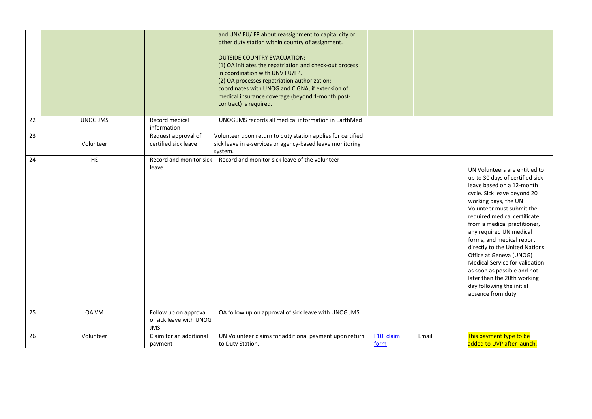|    |            |                                                                | and UNV FU/ FP about reassignment to capital city or<br>other duty station within country of assignment.<br><b>OUTSIDE COUNTRY EVACUATION:</b><br>(1) OA initiates the repatriation and check-out process<br>in coordination with UNV FU/FP.<br>(2) OA processes repatriation authorization;<br>coordinates with UNOG and CIGNA, if extension of<br>medical insurance coverage (beyond 1-month post-<br>contract) is required. |                    |       |                                                                                                                                                                                                                                                                                                                                                                                                                                                                                                                           |
|----|------------|----------------------------------------------------------------|--------------------------------------------------------------------------------------------------------------------------------------------------------------------------------------------------------------------------------------------------------------------------------------------------------------------------------------------------------------------------------------------------------------------------------|--------------------|-------|---------------------------------------------------------------------------------------------------------------------------------------------------------------------------------------------------------------------------------------------------------------------------------------------------------------------------------------------------------------------------------------------------------------------------------------------------------------------------------------------------------------------------|
| 22 | UNOG JMS   | Record medical<br>information                                  | UNOG JMS records all medical information in EarthMed                                                                                                                                                                                                                                                                                                                                                                           |                    |       |                                                                                                                                                                                                                                                                                                                                                                                                                                                                                                                           |
| 23 | Volunteer  | Request approval of<br>certified sick leave                    | Volunteer upon return to duty station applies for certified<br>sick leave in e-services or agency-based leave monitoring<br>system.                                                                                                                                                                                                                                                                                            |                    |       |                                                                                                                                                                                                                                                                                                                                                                                                                                                                                                                           |
| 24 | ${\sf HE}$ | Record and monitor sick<br>leave                               | Record and monitor sick leave of the volunteer                                                                                                                                                                                                                                                                                                                                                                                 |                    |       | UN Volunteers are entitled to<br>up to 30 days of certified sick<br>leave based on a 12-month<br>cycle. Sick leave beyond 20<br>working days, the UN<br>Volunteer must submit the<br>required medical certificate<br>from a medical practitioner,<br>any required UN medical<br>forms, and medical report<br>directly to the United Nations<br>Office at Geneva (UNOG)<br>Medical Service for validation<br>as soon as possible and not<br>later than the 20th working<br>day following the initial<br>absence from duty. |
| 25 | OA VM      | Follow up on approval<br>of sick leave with UNOG<br><b>JMS</b> | OA follow up on approval of sick leave with UNOG JMS                                                                                                                                                                                                                                                                                                                                                                           |                    |       |                                                                                                                                                                                                                                                                                                                                                                                                                                                                                                                           |
| 26 | Volunteer  | Claim for an additional<br>payment                             | UN Volunteer claims for additional payment upon return<br>to Duty Station.                                                                                                                                                                                                                                                                                                                                                     | F10. claim<br>form | Email | This payment type to be<br>added to UVP after launch.                                                                                                                                                                                                                                                                                                                                                                                                                                                                     |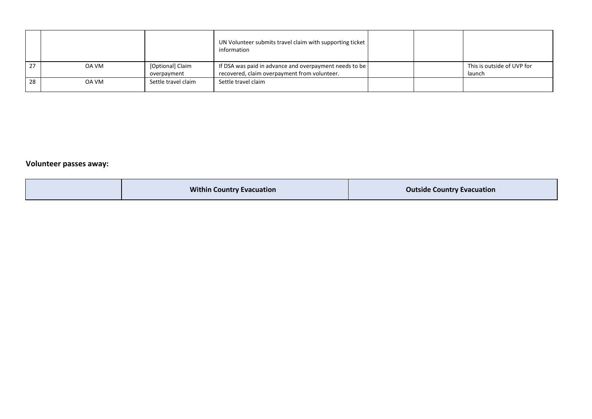|    |       |                                 | UN Volunteer submits travel claim with supporting ticket<br>information                                |  |                                      |
|----|-------|---------------------------------|--------------------------------------------------------------------------------------------------------|--|--------------------------------------|
| 27 | OA VM | [Optional] Claim<br>overpayment | If DSA was paid in advance and overpayment needs to be<br>recovered, claim overpayment from volunteer. |  | This is outside of UVP for<br>launch |
| 28 | OA VM | Settle travel claim             | Settle travel claim                                                                                    |  |                                      |

### **Volunteer passes away:**

| <b>Within Country Evacuation</b> | <b>Outside Country Evacuation</b> |
|----------------------------------|-----------------------------------|
|----------------------------------|-----------------------------------|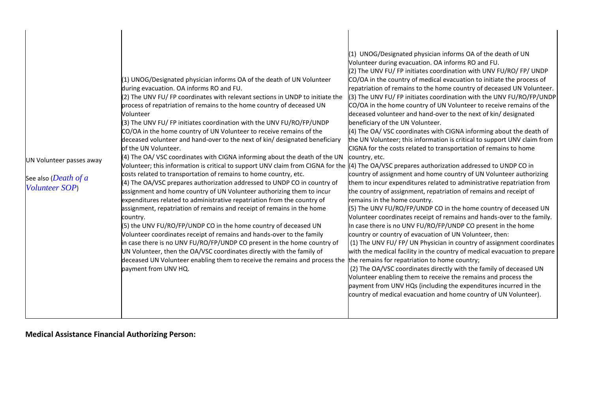| UN Volunteer passes away<br>See also ( <i>Death of a</i><br>Volunteer SOP) | (1) UNOG/Designated physician informs OA of the death of UN Volunteer<br>during evacuation. OA informs RO and FU.<br>(2) The UNV FU/FP coordinates with relevant sections in UNDP to initiate the<br>process of repatriation of remains to the home country of deceased UN<br>Volunteer<br>(3) The UNV FU/ FP initiates coordination with the UNV FU/RO/FP/UNDP<br>CO/OA in the home country of UN Volunteer to receive remains of the<br>deceased volunteer and hand-over to the next of kin/ designated beneficiary<br>of the UN Volunteer.<br>(4) The OA/ VSC coordinates with CIGNA informing about the death of the UN<br>Volunteer; this information is critical to support UNV claim from CIGNA for the<br>costs related to transportation of remains to home country, etc.<br>(4) The OA/VSC prepares authorization addressed to UNDP CO in country of<br>assignment and home country of UN Volunteer authorizing them to incur<br>expenditures related to administrative repatriation from the country of<br>assignment, repatriation of remains and receipt of remains in the home<br>country.<br>(5) the UNV FU/RO/FP/UNDP CO in the home country of deceased UN<br>Volunteer coordinates receipt of remains and hands-over to the family<br>in case there is no UNV FU/RO/FP/UNDP CO present in the home country of<br>UN Volunteer, then the OA/VSC coordinates directly with the family of<br>deceased UN Volunteer enabling them to receive the remains and process the the remains for repatriation to home country;<br>payment from UNV HQ. | (1) UNOG/Designated physician informs OA of the death of UN<br>Volunteer during evacuation. OA informs RO and FU.<br>(2) The UNV FU/ FP initiates coordination with UNV FU/RO/ FP/ UNDP<br>CO/OA in the country of medical evacuation to initiate the process of<br>repatriation of remains to the home country of deceased UN Volunteer.<br>(3) The UNV FU/ FP initiates coordination with the UNV FU/RO/FP/UNDP<br>CO/OA in the home country of UN Volunteer to receive remains of the<br>deceased volunteer and hand-over to the next of kin/ designated<br>beneficiary of the UN Volunteer.<br>(4) The OA/ VSC coordinates with CIGNA informing about the death of<br>the UN Volunteer; this information is critical to support UNV claim from<br>CIGNA for the costs related to transportation of remains to home<br>country, etc.<br>(4) The OA/VSC prepares authorization addressed to UNDP CO in<br>country of assignment and home country of UN Volunteer authorizing<br>them to incur expenditures related to administrative repatriation from<br>the country of assignment, repatriation of remains and receipt of<br>remains in the home country.<br>(5) The UNV FU/RO/FP/UNDP CO in the home country of deceased UN<br>Volunteer coordinates receipt of remains and hands-over to the family.<br>In case there is no UNV FU/RO/FP/UNDP CO present in the home<br>country or country of evacuation of UN Volunteer, then:<br>(1) The UNV FU/FP/UN Physician in country of assignment coordinates<br>with the medical facility in the country of medical evacuation to prepare<br>(2) The OA/VSC coordinates directly with the family of deceased UN<br>Volunteer enabling them to receive the remains and process the<br>payment from UNV HQs (including the expenditures incurred in the<br>country of medical evacuation and home country of UN Volunteer). |
|----------------------------------------------------------------------------|--------------------------------------------------------------------------------------------------------------------------------------------------------------------------------------------------------------------------------------------------------------------------------------------------------------------------------------------------------------------------------------------------------------------------------------------------------------------------------------------------------------------------------------------------------------------------------------------------------------------------------------------------------------------------------------------------------------------------------------------------------------------------------------------------------------------------------------------------------------------------------------------------------------------------------------------------------------------------------------------------------------------------------------------------------------------------------------------------------------------------------------------------------------------------------------------------------------------------------------------------------------------------------------------------------------------------------------------------------------------------------------------------------------------------------------------------------------------------------------------------------------------------------------------------------------|---------------------------------------------------------------------------------------------------------------------------------------------------------------------------------------------------------------------------------------------------------------------------------------------------------------------------------------------------------------------------------------------------------------------------------------------------------------------------------------------------------------------------------------------------------------------------------------------------------------------------------------------------------------------------------------------------------------------------------------------------------------------------------------------------------------------------------------------------------------------------------------------------------------------------------------------------------------------------------------------------------------------------------------------------------------------------------------------------------------------------------------------------------------------------------------------------------------------------------------------------------------------------------------------------------------------------------------------------------------------------------------------------------------------------------------------------------------------------------------------------------------------------------------------------------------------------------------------------------------------------------------------------------------------------------------------------------------------------------------------------------------------------------------------------------------------------------------------------------------------------|
|----------------------------------------------------------------------------|--------------------------------------------------------------------------------------------------------------------------------------------------------------------------------------------------------------------------------------------------------------------------------------------------------------------------------------------------------------------------------------------------------------------------------------------------------------------------------------------------------------------------------------------------------------------------------------------------------------------------------------------------------------------------------------------------------------------------------------------------------------------------------------------------------------------------------------------------------------------------------------------------------------------------------------------------------------------------------------------------------------------------------------------------------------------------------------------------------------------------------------------------------------------------------------------------------------------------------------------------------------------------------------------------------------------------------------------------------------------------------------------------------------------------------------------------------------------------------------------------------------------------------------------------------------|---------------------------------------------------------------------------------------------------------------------------------------------------------------------------------------------------------------------------------------------------------------------------------------------------------------------------------------------------------------------------------------------------------------------------------------------------------------------------------------------------------------------------------------------------------------------------------------------------------------------------------------------------------------------------------------------------------------------------------------------------------------------------------------------------------------------------------------------------------------------------------------------------------------------------------------------------------------------------------------------------------------------------------------------------------------------------------------------------------------------------------------------------------------------------------------------------------------------------------------------------------------------------------------------------------------------------------------------------------------------------------------------------------------------------------------------------------------------------------------------------------------------------------------------------------------------------------------------------------------------------------------------------------------------------------------------------------------------------------------------------------------------------------------------------------------------------------------------------------------------------|

**Medical Assistance Financial Authorizing Person:**